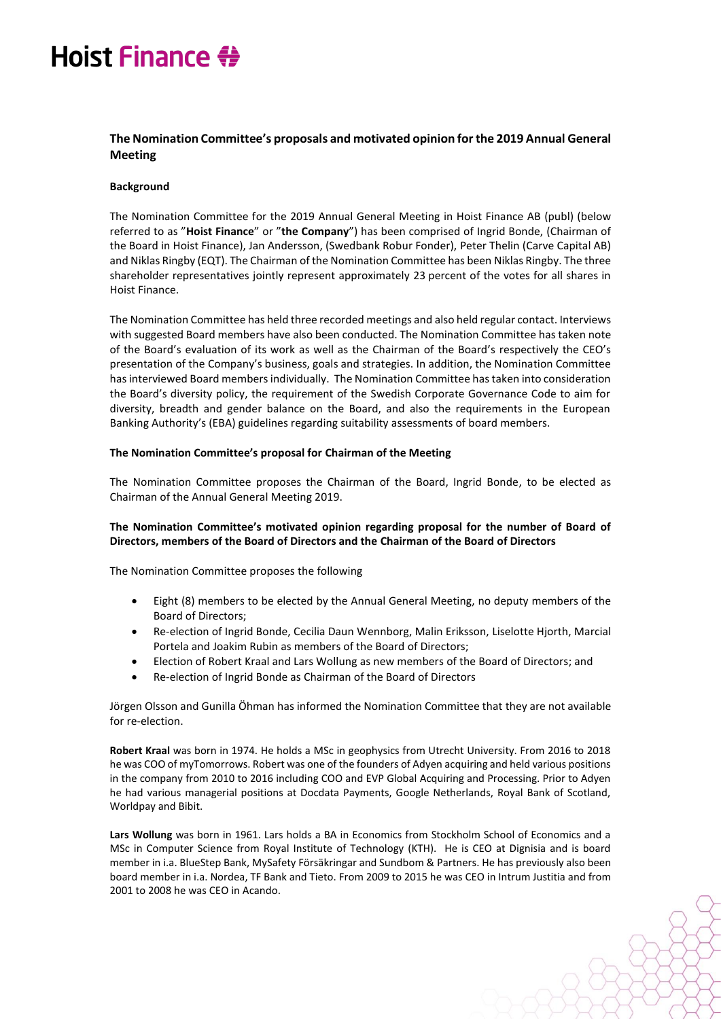# Hoist Finance #

### **The Nomination Committee's proposals and motivated opinion forthe 2019 Annual General Meeting**

#### **Background**

The Nomination Committee for the 2019 Annual General Meeting in Hoist Finance AB (publ) (below referred to as "**Hoist Finance**" or "**the Company**") has been comprised of Ingrid Bonde, (Chairman of the Board in Hoist Finance), Jan Andersson, (Swedbank Robur Fonder), Peter Thelin (Carve Capital AB) and Niklas Ringby (EQT). The Chairman of the Nomination Committee has been Niklas Ringby. The three shareholder representatives jointly represent approximately 23 percent of the votes for all shares in Hoist Finance.

The Nomination Committee has held three recorded meetings and also held regular contact. Interviews with suggested Board members have also been conducted. The Nomination Committee has taken note of the Board's evaluation of its work as well as the Chairman of the Board's respectively the CEO's presentation of the Company's business, goals and strategies. In addition, the Nomination Committee has interviewed Board members individually. The Nomination Committee has taken into consideration the Board's diversity policy, the requirement of the Swedish Corporate Governance Code to aim for diversity, breadth and gender balance on the Board, and also the requirements in the European Banking Authority's (EBA) guidelines regarding suitability assessments of board members.

#### **The Nomination Committee's proposal for Chairman of the Meeting**

The Nomination Committee proposes the Chairman of the Board, Ingrid Bonde, to be elected as Chairman of the Annual General Meeting 2019.

#### **The Nomination Committee's motivated opinion regarding proposal for the number of Board of Directors, members of the Board of Directors and the Chairman of the Board of Directors**

The Nomination Committee proposes the following

- Eight (8) members to be elected by the Annual General Meeting, no deputy members of the Board of Directors;
- Re-election of Ingrid Bonde, Cecilia Daun Wennborg, Malin Eriksson, Liselotte Hjorth, Marcial Portela and Joakim Rubin as members of the Board of Directors;
- Election of Robert Kraal and Lars Wollung as new members of the Board of Directors; and
- Re-election of Ingrid Bonde as Chairman of the Board of Directors

Jörgen Olsson and Gunilla Öhman has informed the Nomination Committee that they are not available for re-election.

**Robert Kraal** was born in 1974. He holds a MSc in geophysics from Utrecht University. From 2016 to 2018 he was COO of myTomorrows. Robert was one of the founders of Adyen acquiring and held various positions in the company from 2010 to 2016 including COO and EVP Global Acquiring and Processing. Prior to Adyen he had various managerial positions at Docdata Payments, Google Netherlands, Royal Bank of Scotland, Worldpay and Bibit.

**Lars Wollung** was born in 1961. Lars holds a BA in Economics from Stockholm School of Economics and a MSc in Computer Science from Royal Institute of Technology (KTH). He is CEO at Dignisia and is board member in i.a. BlueStep Bank, MySafety Försäkringar and Sundbom & Partners. He has previously also been board member in i.a. Nordea, TF Bank and Tieto. From 2009 to 2015 he was CEO in Intrum Justitia and from 2001 to 2008 he was CEO in Acando.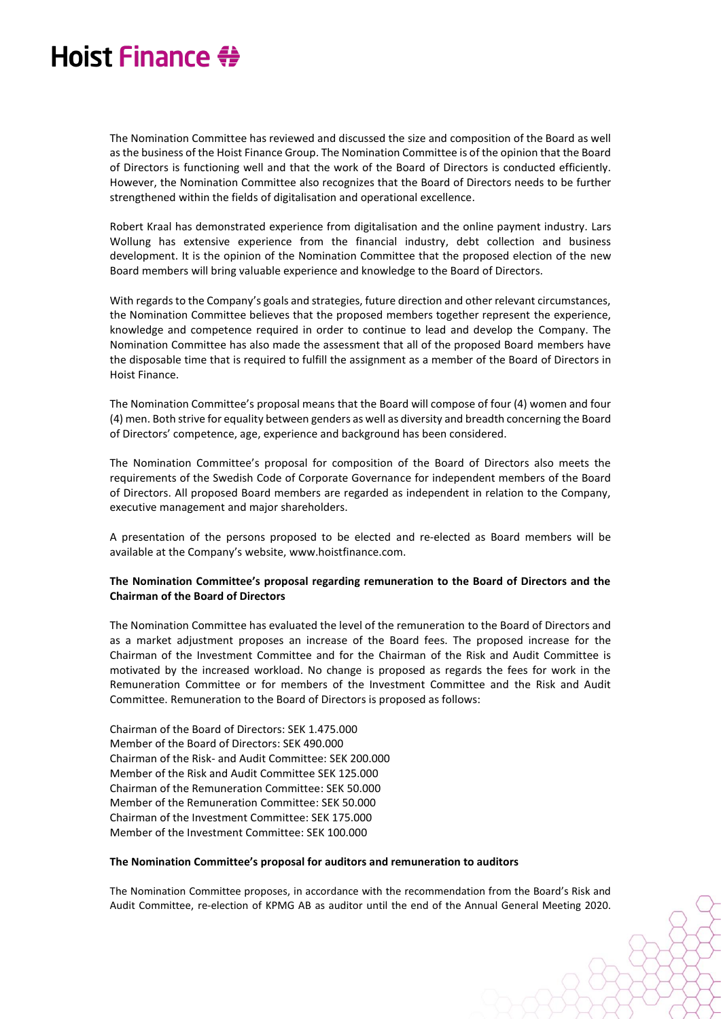### Hoist Finance #

The Nomination Committee has reviewed and discussed the size and composition of the Board as well as the business of the Hoist Finance Group. The Nomination Committee is of the opinion that the Board of Directors is functioning well and that the work of the Board of Directors is conducted efficiently. However, the Nomination Committee also recognizes that the Board of Directors needs to be further strengthened within the fields of digitalisation and operational excellence.

Robert Kraal has demonstrated experience from digitalisation and the online payment industry. Lars Wollung has extensive experience from the financial industry, debt collection and business development. It is the opinion of the Nomination Committee that the proposed election of the new Board members will bring valuable experience and knowledge to the Board of Directors.

With regards to the Company's goals and strategies, future direction and other relevant circumstances, the Nomination Committee believes that the proposed members together represent the experience, knowledge and competence required in order to continue to lead and develop the Company. The Nomination Committee has also made the assessment that all of the proposed Board members have the disposable time that is required to fulfill the assignment as a member of the Board of Directors in Hoist Finance.

The Nomination Committee's proposal means that the Board will compose of four (4) women and four (4) men. Both strive for equality between genders as well as diversity and breadth concerning the Board of Directors' competence, age, experience and background has been considered.

The Nomination Committee's proposal for composition of the Board of Directors also meets the requirements of the Swedish Code of Corporate Governance for independent members of the Board of Directors. All proposed Board members are regarded as independent in relation to the Company, executive management and major shareholders.

A presentation of the persons proposed to be elected and re-elected as Board members will be available at the Company's website, [www.hoistfinance.com.](http://www.hoistfinance.com/)

#### **The Nomination Committee's proposal regarding remuneration to the Board of Directors and the Chairman of the Board of Directors**

The Nomination Committee has evaluated the level of the remuneration to the Board of Directors and as a market adjustment proposes an increase of the Board fees. The proposed increase for the Chairman of the Investment Committee and for the Chairman of the Risk and Audit Committee is motivated by the increased workload. No change is proposed as regards the fees for work in the Remuneration Committee or for members of the Investment Committee and the Risk and Audit Committee. Remuneration to the Board of Directors is proposed as follows:

Chairman of the Board of Directors: SEK 1.475.000 Member of the Board of Directors: SEK 490.000 Chairman of the Risk- and Audit Committee: SEK 200.000 Member of the Risk and Audit Committee SEK 125.000 Chairman of the Remuneration Committee: SEK 50.000 Member of the Remuneration Committee: SEK 50.000 Chairman of the Investment Committee: SEK 175.000 Member of the Investment Committee: SEK 100.000

#### **The Nomination Committee's proposal for auditors and remuneration to auditors**

The Nomination Committee proposes, in accordance with the recommendation from the Board's Risk and Audit Committee, re-election of KPMG AB as auditor until the end of the Annual General Meeting 2020.